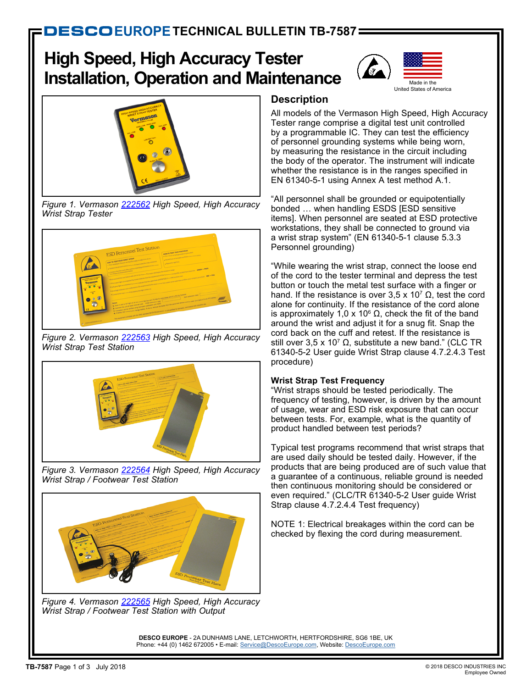# **High Speed, High Accuracy Tester Installation, Operation and Maintenance**





*Figure 1. Vermason [222562](http://www.descoeurope.com/Search/222562/) High Speed, High Accuracy Wrist Strap Tester*



*Figure 2. Vermason [222563](http://www.descoeurope.com/Search/222563/) High Speed, High Accuracy Wrist Strap Test Station*



*Figure 3. Vermason [222564](http://www.descoeurope.com/Search/222564/) High Speed, High Accuracy Wrist Strap / Footwear Test Station*



*Figure 4. Vermason [222565](http://www.descoeurope.com/Search/222565/) High Speed, High Accuracy Wrist Strap / Footwear Test Station with Output*

# **Description**

All models of the Vermason High Speed, High Accuracy Tester range comprise a digital test unit controlled by a programmable IC. They can test the efficiency of personnel grounding systems while being worn, by measuring the resistance in the circuit including the body of the operator. The instrument will indicate whether the resistance is in the ranges specified in EN 61340-5-1 using Annex A test method A.1.

"All personnel shall be grounded or equipotentially bonded … when handling ESDS [ESD sensitive items]. When personnel are seated at ESD protective workstations, they shall be connected to ground via a wrist strap system" (EN 61340-5-1 clause 5.3.3 Personnel grounding)

"While wearing the wrist strap, connect the loose end of the cord to the tester terminal and depress the test button or touch the metal test surface with a finger or hand. If the resistance is over 3,5 x 10<sup>7</sup> Ω, test the cord alone for continuity. If the resistance of the cord alone is approximately 1,0 x 10<sup>6</sup> Ω, check the fit of the band around the wrist and adjust it for a snug fit. Snap the cord back on the cuff and retest. If the resistance is still over 3,5 x 10<sup>7</sup> Ω, substitute a new band." (CLC TR 61340-5-2 User guide Wrist Strap clause 4.7.2.4.3 Test procedure)

## **Wrist Strap Test Frequency**

"Wrist straps should be tested periodically. The frequency of testing, however, is driven by the amount of usage, wear and ESD risk exposure that can occur between tests. For, example, what is the quantity of product handled between test periods?

Typical test programs recommend that wrist straps that are used daily should be tested daily. However, if the products that are being produced are of such value that a guarantee of a continuous, reliable ground is needed then continuous monitoring should be considered or even required." (CLC/TR 61340-5-2 User guide Wrist Strap clause 4.7.2.4.4 Test frequency)

NOTE 1: Electrical breakages within the cord can be checked by flexing the cord during measurement.

**DESCO EUROPE** - 2A DUNHAMS LANE, LETCHWORTH, HERTFORDSHIRE, SG6 1BE, UK Phone: +44 (0) 1462 672005 • E-mail: [Service@DescoEurope.com](mailto:Service%40DescoEurope.com?subject=), Website: [DescoEurope.com](http://www.descoeurope.com)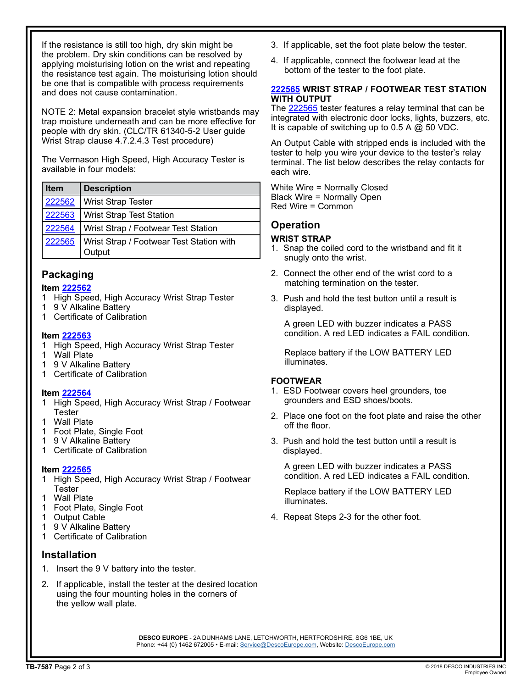If the resistance is still too high, dry skin might be the problem. Dry skin conditions can be resolved by applying moisturising lotion on the wrist and repeating the resistance test again. The moisturising lotion should be one that is compatible with process requirements and does not cause contamination.

NOTE 2: Metal expansion bracelet style wristbands may trap moisture underneath and can be more effective for people with dry skin. (CLC/TR 61340-5-2 User guide Wrist Strap clause 4.7.2.4.3 Test procedure)

The Vermason High Speed, High Accuracy Tester is available in four models:

| <b>Item</b> | Description                                        |
|-------------|----------------------------------------------------|
| 222562      | <b>Wrist Strap Tester</b>                          |
| 222563      | <b>Wrist Strap Test Station</b>                    |
| 222564      | Wrist Strap / Footwear Test Station                |
| 222565      | Wrist Strap / Footwear Test Station with<br>Output |

## **Packaging**

#### **Item [222562](http://www.descoeurope.com/Search/222562/)**

- 1 High Speed, High Accuracy Wrist Strap Tester
- 1 9 V Alkaline Battery
- 1 Certificate of Calibration

#### **Item [222563](http://www.descoeurope.com/Search/222563/)**

- 1 High Speed, High Accuracy Wrist Strap Tester
- 1 Wall Plate
- 1 9 V Alkaline Battery
- 1 Certificate of Calibration

## **Item [222564](http://www.descoeurope.com/Search/222564/)**

- 1 High Speed, High Accuracy Wrist Strap / Footwear **Tester**
- **Wall Plate**
- 1 Foot Plate, Single Foot
- 1 9 V Alkaline Battery
- 1 Certificate of Calibration

## **Item [222565](http://www.descoeurope.com/Search/222565/)**

- 1 High Speed, High Accuracy Wrist Strap / Footwear **Tester**
- 1 Wall Plate
- 1 Foot Plate, Single Foot
- 1 Output Cable<br>1 9 V Alkaline B
- 9 V Alkaline Battery
- 1 Certificate of Calibration

## **Installation**

- 1. Insert the 9 V battery into the tester.
- 2. If applicable, install the tester at the desired location using the four mounting holes in the corners of the yellow wall plate.
- 3. If applicable, set the foot plate below the tester.
- 4. If applicable, connect the footwear lead at the bottom of the tester to the foot plate.

#### **[222565](http://www.descoeurope.com/Search/222565/) WRIST STRAP / FOOTWEAR TEST STATION WITH OUTPUT**

The [222565](http://www.descoeurope.com/Search/222565/) tester features a relay terminal that can be integrated with electronic door locks, lights, buzzers, etc. It is capable of switching up to 0.5 A  $@$  50 VDC.

An Output Cable with stripped ends is included with the tester to help you wire your device to the tester's relay terminal. The list below describes the relay contacts for each wire.

White Wire = Normally Closed Black Wire = Normally Open Red Wire = Common

# **Operation**

## **WRIST STRAP**

- 1. Snap the coiled cord to the wristband and fit it snugly onto the wrist.
- 2. Connect the other end of the wrist cord to a matching termination on the tester.
- 3. Push and hold the test button until a result is displayed.

 A green LED with buzzer indicates a PASS condition. A red LED indicates a FAIL condition.

 Replace battery if the LOW BATTERY LED illuminates.

## **FOOTWEAR**

- 1. ESD Footwear covers heel grounders, toe grounders and ESD shoes/boots.
- 2. Place one foot on the foot plate and raise the other off the floor.
- 3. Push and hold the test button until a result is displayed.

 A green LED with buzzer indicates a PASS condition. A red LED indicates a FAIL condition.

 Replace battery if the LOW BATTERY LED illuminates.

4. Repeat Steps 2-3 for the other foot.

**DESCO EUROPE** - 2A DUNHAMS LANE, LETCHWORTH, HERTFORDSHIRE, SG6 1BE, UK Phone: +44 (0) 1462 672005 • E-mail: [Service@DescoEurope.com](mailto:Service%40DescoEurope.com?subject=), Website: [DescoEurope.com](http://www.descoeurope.com)